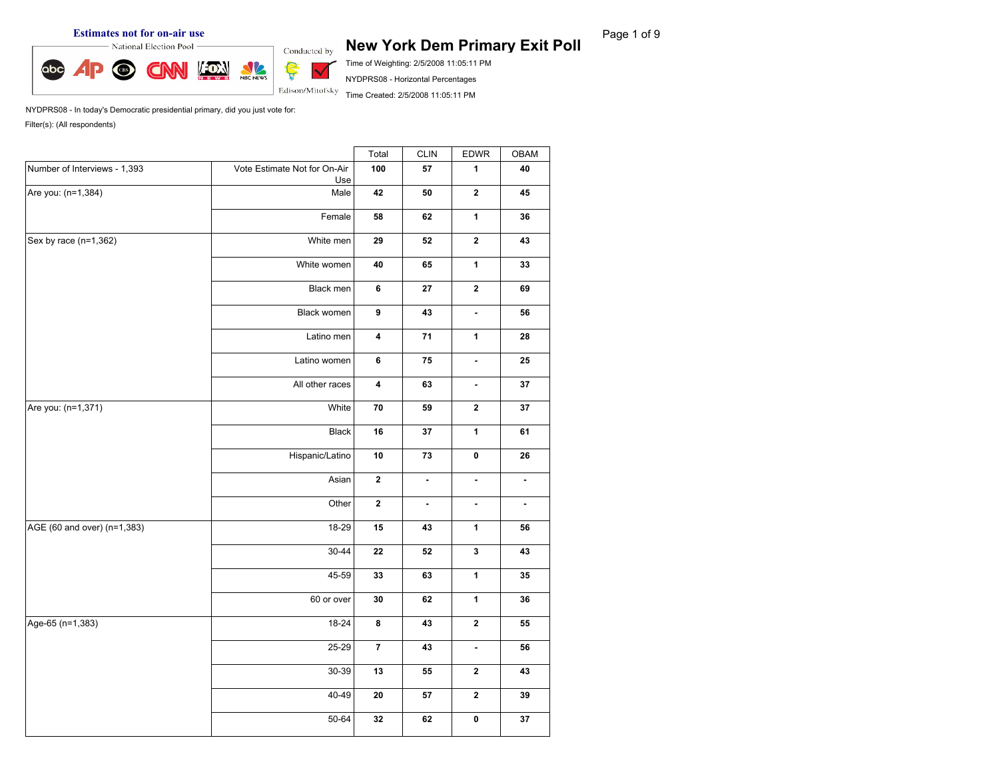# **Estimates not for on-air use**<br> **Rage 1 of 9 New York Dem Primary Exit Poll** Page 1 of 9

Time of Weighting: 2/5/2008 11:05:11 PM

NYDPRS08 - Horizontal Percentages

Time Created: 2/5/2008 11:05:11 PM

|                              |                                                                                                                                                                                                                                                                                                                                                                                                                                                                                                                                                                                                                                     | Total | <b>CLIN</b> | EDWR                    | OBAM           |
|------------------------------|-------------------------------------------------------------------------------------------------------------------------------------------------------------------------------------------------------------------------------------------------------------------------------------------------------------------------------------------------------------------------------------------------------------------------------------------------------------------------------------------------------------------------------------------------------------------------------------------------------------------------------------|-------|-------------|-------------------------|----------------|
| Number of Interviews - 1,393 | Vote Estimate Not for On-Air<br>Use                                                                                                                                                                                                                                                                                                                                                                                                                                                                                                                                                                                                 | 100   | ${\bf 57}$  | $\mathbf{1}$            | 40             |
| Are you: (n=1,384)           | Male                                                                                                                                                                                                                                                                                                                                                                                                                                                                                                                                                                                                                                | 42    | ${\bf 50}$  | $\overline{\mathbf{2}}$ | 45             |
|                              | Female                                                                                                                                                                                                                                                                                                                                                                                                                                                                                                                                                                                                                              | 58    | 62          | $\mathbf{1}$            | 36             |
| Sex by race $(n=1,362)$      | White men                                                                                                                                                                                                                                                                                                                                                                                                                                                                                                                                                                                                                           | 29    | ${\bf 52}$  | $\mathbf 2$             | 43             |
|                              | White women                                                                                                                                                                                                                                                                                                                                                                                                                                                                                                                                                                                                                         | 40    | 65          | $\mathbf{1}$            | 33             |
|                              | $\mathbf 2$<br>Black men<br>6<br>${\bf 27}$<br>$\pmb{9}$<br>Black women<br>43<br>$\blacksquare$<br>${\bf 71}$<br>$\mathbf{1}$<br>Latino men<br>$\overline{\mathbf{4}}$<br>Latino women<br>6<br>75<br>$\blacksquare$<br>All other races<br>$\pmb{4}$<br>63<br>ä,<br>${\bf 70}$<br>White<br>59<br>$\mathbf{2}$<br>Black<br>16<br>${\bf 37}$<br>$\mathbf{1}$<br>Hispanic/Latino<br>73<br>$\pmb{0}$<br>10<br>$\mathbf 2$<br>Asian<br>÷.<br>$\blacksquare$<br>$\mathbf 2$<br>Other<br>$\blacksquare$<br>$\blacksquare$<br>18-29<br>15<br>$\mathbf 1$<br>43<br>$30 - 44$<br>$\mathbf{3}$<br>22<br>52<br>45-59<br>$\mathbf{1}$<br>33<br>63 | 69    |             |                         |                |
|                              |                                                                                                                                                                                                                                                                                                                                                                                                                                                                                                                                                                                                                                     |       |             |                         | 56             |
|                              |                                                                                                                                                                                                                                                                                                                                                                                                                                                                                                                                                                                                                                     |       |             |                         | 28             |
|                              |                                                                                                                                                                                                                                                                                                                                                                                                                                                                                                                                                                                                                                     |       |             |                         | 25             |
|                              | 37                                                                                                                                                                                                                                                                                                                                                                                                                                                                                                                                                                                                                                  |       |             |                         |                |
| Are you: (n=1,371)           |                                                                                                                                                                                                                                                                                                                                                                                                                                                                                                                                                                                                                                     |       |             |                         | 37             |
|                              | 60 or over<br>$\mathbf{1}$<br>$30\,$<br>62<br>$\mathbf 2$<br>18-24<br>$\pmb{8}$<br>43<br>25-29<br>$\overline{7}$<br>43<br>$\blacksquare$<br>30-39<br>13<br>55<br>$\mathbf{2}$<br>40-49<br>$\mathbf{2}$<br>20<br>${\bf 57}$<br>$50 - 64$<br>$\pmb{0}$<br>32<br>62                                                                                                                                                                                                                                                                                                                                                                    |       | 61          |                         |                |
|                              |                                                                                                                                                                                                                                                                                                                                                                                                                                                                                                                                                                                                                                     |       |             |                         | 26             |
|                              |                                                                                                                                                                                                                                                                                                                                                                                                                                                                                                                                                                                                                                     |       |             |                         | $\blacksquare$ |
|                              |                                                                                                                                                                                                                                                                                                                                                                                                                                                                                                                                                                                                                                     |       |             |                         | $\blacksquare$ |
| AGE (60 and over) (n=1,383)  |                                                                                                                                                                                                                                                                                                                                                                                                                                                                                                                                                                                                                                     |       |             |                         | 56             |
|                              |                                                                                                                                                                                                                                                                                                                                                                                                                                                                                                                                                                                                                                     |       |             |                         | 43             |
|                              |                                                                                                                                                                                                                                                                                                                                                                                                                                                                                                                                                                                                                                     |       |             |                         | 35             |
|                              |                                                                                                                                                                                                                                                                                                                                                                                                                                                                                                                                                                                                                                     |       |             |                         | 36             |
| Age-65 (n=1,383)             |                                                                                                                                                                                                                                                                                                                                                                                                                                                                                                                                                                                                                                     |       |             |                         | 55             |
|                              |                                                                                                                                                                                                                                                                                                                                                                                                                                                                                                                                                                                                                                     |       |             |                         | 56             |
|                              |                                                                                                                                                                                                                                                                                                                                                                                                                                                                                                                                                                                                                                     |       |             |                         | 43             |
|                              |                                                                                                                                                                                                                                                                                                                                                                                                                                                                                                                                                                                                                                     |       |             |                         | 39             |
|                              |                                                                                                                                                                                                                                                                                                                                                                                                                                                                                                                                                                                                                                     |       |             |                         | 37             |

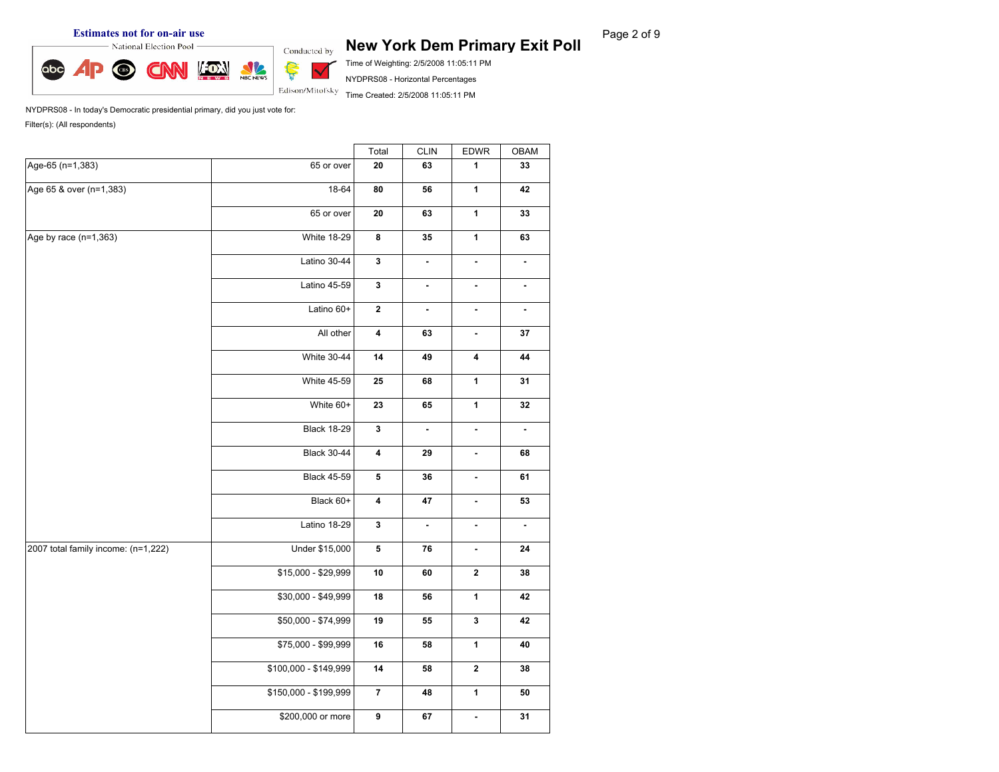abc

## **Estimates not for on-air use**<br> **Rage 2 of 9 New York Dem Primary Exit Poll Page 2 of 9 New York Dem Primary Exit Poll**

Time of Weighting: 2/5/2008 11:05:11 PM NYDPRS08 - Horizontal Percentages

Time Created: 2/5/2008 11:05:11 PM

NYDPRS08 - In today's Democratic presidential primary, did you just vote for: Filter(s): (All respondents)

NBC NEWS

Ş

 $\checkmark$ Edison/Mitofsky

T.

|                                     |                                                                                                                                                                                                                                                                                                                                                                                                                                                                                                                                                                                                                                                                                                                                                                                                                                                                                                                                                                                                                                                                                                                                                                                                                |                |            |              | <b>OBAM</b>    |
|-------------------------------------|----------------------------------------------------------------------------------------------------------------------------------------------------------------------------------------------------------------------------------------------------------------------------------------------------------------------------------------------------------------------------------------------------------------------------------------------------------------------------------------------------------------------------------------------------------------------------------------------------------------------------------------------------------------------------------------------------------------------------------------------------------------------------------------------------------------------------------------------------------------------------------------------------------------------------------------------------------------------------------------------------------------------------------------------------------------------------------------------------------------------------------------------------------------------------------------------------------------|----------------|------------|--------------|----------------|
| Age-65 (n=1,383)                    | 65 or over                                                                                                                                                                                                                                                                                                                                                                                                                                                                                                                                                                                                                                                                                                                                                                                                                                                                                                                                                                                                                                                                                                                                                                                                     | 20             | 63         | $\mathbf{1}$ | 33             |
| Age 65 & over (n=1,383)             | 18-64                                                                                                                                                                                                                                                                                                                                                                                                                                                                                                                                                                                                                                                                                                                                                                                                                                                                                                                                                                                                                                                                                                                                                                                                          | 80             | 56         | $\mathbf{1}$ | 42             |
|                                     | 65 or over                                                                                                                                                                                                                                                                                                                                                                                                                                                                                                                                                                                                                                                                                                                                                                                                                                                                                                                                                                                                                                                                                                                                                                                                     | 20             | 63         | $\mathbf{1}$ | 33             |
| Age by race $(n=1,363)$             | <b>White 18-29</b>                                                                                                                                                                                                                                                                                                                                                                                                                                                                                                                                                                                                                                                                                                                                                                                                                                                                                                                                                                                                                                                                                                                                                                                             | $\bf8$         | ${\bf 35}$ | $\mathbf{1}$ | 63             |
|                                     | Total<br><b>CLIN</b><br>EDWR<br>Latino 30-44<br>$\mathbf 3$<br>$\blacksquare$<br>$\blacksquare$<br>Latino 45-59<br>$\mathbf{3}$<br>$\blacksquare$<br>$\blacksquare$<br>Latino 60+<br>$\mathbf 2$<br>÷<br>$\overline{\phantom{a}}$<br>$\pmb{4}$<br>All other<br>63<br>$\blacksquare$<br><b>White 30-44</b><br>14<br>4<br>49<br>$\mathbf{1}$<br><b>White 45-59</b><br>25<br>68<br>$\mathbf{1}$<br>White 60+<br>23<br>65<br><b>Black 18-29</b><br>$\mathbf{3}$<br>$\blacksquare$<br>$\blacksquare$<br><b>Black 30-44</b><br>$\overline{\mathbf{4}}$<br>29<br>$\blacksquare$<br><b>Black 45-59</b><br>5<br>${\bf 36}$<br>$\blacksquare$<br>Black 60+<br>$\pmb{4}$<br>47<br>$\blacksquare$<br>Latino 18-29<br>$\mathbf{3}$<br>$\blacksquare$<br>$\blacksquare$<br>Under \$15,000<br>${\bf 5}$<br>76<br>$\blacksquare$<br>$\bf 2$<br>\$15,000 - \$29,999<br>$10$<br>60<br>\$30,000 - \$49,999<br>$\mathbf{1}$<br>18<br>56<br>\$50,000 - \$74,999<br>$\mathbf 3$<br>19<br>55<br>$\mathbf{1}$<br>\$75,000 - \$99,999<br>16<br>58<br>\$100,000 - \$149,999<br>$\mathbf 2$<br>14<br>58<br>\$150,000 - \$199,999<br>$\overline{7}$<br>$\mathbf{1}$<br>48<br>\$200,000 or more<br>$\boldsymbol{9}$<br>67<br>$\blacksquare$ | $\blacksquare$ |            |              |                |
|                                     |                                                                                                                                                                                                                                                                                                                                                                                                                                                                                                                                                                                                                                                                                                                                                                                                                                                                                                                                                                                                                                                                                                                                                                                                                |                |            |              | $\blacksquare$ |
|                                     |                                                                                                                                                                                                                                                                                                                                                                                                                                                                                                                                                                                                                                                                                                                                                                                                                                                                                                                                                                                                                                                                                                                                                                                                                |                |            |              | $\blacksquare$ |
|                                     |                                                                                                                                                                                                                                                                                                                                                                                                                                                                                                                                                                                                                                                                                                                                                                                                                                                                                                                                                                                                                                                                                                                                                                                                                |                |            |              | 37             |
|                                     |                                                                                                                                                                                                                                                                                                                                                                                                                                                                                                                                                                                                                                                                                                                                                                                                                                                                                                                                                                                                                                                                                                                                                                                                                |                |            |              | 44             |
|                                     |                                                                                                                                                                                                                                                                                                                                                                                                                                                                                                                                                                                                                                                                                                                                                                                                                                                                                                                                                                                                                                                                                                                                                                                                                |                |            |              | 31             |
|                                     |                                                                                                                                                                                                                                                                                                                                                                                                                                                                                                                                                                                                                                                                                                                                                                                                                                                                                                                                                                                                                                                                                                                                                                                                                |                |            |              | ${\bf 32}$     |
|                                     |                                                                                                                                                                                                                                                                                                                                                                                                                                                                                                                                                                                                                                                                                                                                                                                                                                                                                                                                                                                                                                                                                                                                                                                                                |                |            |              | $\blacksquare$ |
|                                     |                                                                                                                                                                                                                                                                                                                                                                                                                                                                                                                                                                                                                                                                                                                                                                                                                                                                                                                                                                                                                                                                                                                                                                                                                |                |            |              | 68             |
|                                     |                                                                                                                                                                                                                                                                                                                                                                                                                                                                                                                                                                                                                                                                                                                                                                                                                                                                                                                                                                                                                                                                                                                                                                                                                |                |            |              | 61             |
|                                     |                                                                                                                                                                                                                                                                                                                                                                                                                                                                                                                                                                                                                                                                                                                                                                                                                                                                                                                                                                                                                                                                                                                                                                                                                |                |            |              | 53             |
|                                     |                                                                                                                                                                                                                                                                                                                                                                                                                                                                                                                                                                                                                                                                                                                                                                                                                                                                                                                                                                                                                                                                                                                                                                                                                |                |            |              | $\blacksquare$ |
| 2007 total family income: (n=1,222) |                                                                                                                                                                                                                                                                                                                                                                                                                                                                                                                                                                                                                                                                                                                                                                                                                                                                                                                                                                                                                                                                                                                                                                                                                |                |            |              | ${\bf 24}$     |
|                                     |                                                                                                                                                                                                                                                                                                                                                                                                                                                                                                                                                                                                                                                                                                                                                                                                                                                                                                                                                                                                                                                                                                                                                                                                                | ${\bf 38}$     |            |              |                |
|                                     |                                                                                                                                                                                                                                                                                                                                                                                                                                                                                                                                                                                                                                                                                                                                                                                                                                                                                                                                                                                                                                                                                                                                                                                                                |                |            |              | 42             |
|                                     |                                                                                                                                                                                                                                                                                                                                                                                                                                                                                                                                                                                                                                                                                                                                                                                                                                                                                                                                                                                                                                                                                                                                                                                                                |                |            |              | 42             |
|                                     |                                                                                                                                                                                                                                                                                                                                                                                                                                                                                                                                                                                                                                                                                                                                                                                                                                                                                                                                                                                                                                                                                                                                                                                                                |                |            |              | 40             |
|                                     |                                                                                                                                                                                                                                                                                                                                                                                                                                                                                                                                                                                                                                                                                                                                                                                                                                                                                                                                                                                                                                                                                                                                                                                                                |                |            |              | ${\bf 38}$     |
|                                     |                                                                                                                                                                                                                                                                                                                                                                                                                                                                                                                                                                                                                                                                                                                                                                                                                                                                                                                                                                                                                                                                                                                                                                                                                |                |            |              | 50             |
|                                     |                                                                                                                                                                                                                                                                                                                                                                                                                                                                                                                                                                                                                                                                                                                                                                                                                                                                                                                                                                                                                                                                                                                                                                                                                |                |            |              | 31             |
|                                     |                                                                                                                                                                                                                                                                                                                                                                                                                                                                                                                                                                                                                                                                                                                                                                                                                                                                                                                                                                                                                                                                                                                                                                                                                |                |            |              |                |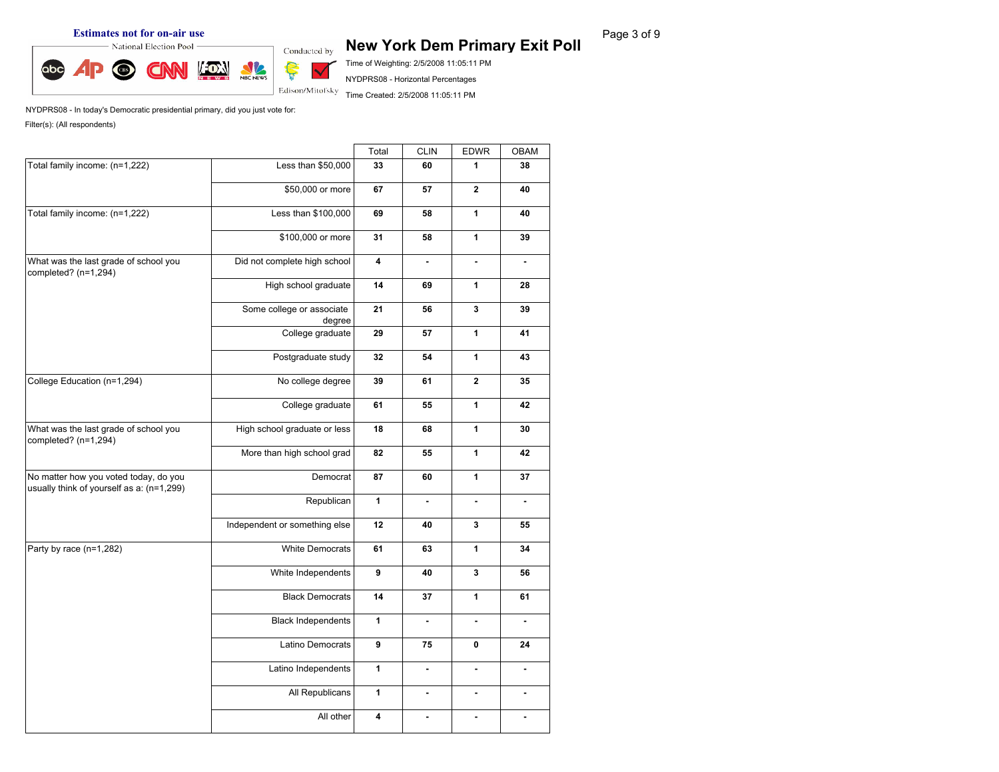abc

**Estimates not for on-air use**<br> **Rage 3 of 9 New York Dem Primary Exit Poll** Page 3 of 9

Time of Weighting: 2/5/2008 11:05:11 PM

NYDPRS08 - Horizontal Percentages

Time Created: 2/5/2008 11:05:11 PM

NYDPRS08 - In today's Democratic presidential primary, did you just vote for: Filter(s): (All respondents)

NBC NEWS

Ş

 $\checkmark$ Edison/Mitofsky

T.

|                                                                                    |                                     | Total        | <b>CLIN</b>                                                                                      | <b>EDWR</b>    | OBAM           |
|------------------------------------------------------------------------------------|-------------------------------------|--------------|--------------------------------------------------------------------------------------------------|----------------|----------------|
| Total family income: (n=1,222)                                                     | Less than \$50,000                  | 33           | 60                                                                                               | $\mathbf{1}$   | 38             |
|                                                                                    | \$50,000 or more                    | 67           | 57                                                                                               | $\overline{2}$ | 40             |
| Total family income: (n=1,222)                                                     | Less than \$100,000                 | 69           | 58                                                                                               | $\mathbf{1}$   | 40             |
|                                                                                    | \$100,000 or more                   | 31           | 58                                                                                               | $\mathbf{1}$   | 39             |
| What was the last grade of school you<br>completed? (n=1,294)                      | Did not complete high school        | 4            | ä,                                                                                               | ä,             | ä,             |
|                                                                                    | High school graduate                | 14           | 69                                                                                               | $\mathbf{1}$   | 28             |
|                                                                                    | Some college or associate<br>degree | 21           | 56                                                                                               | 3              | 39             |
|                                                                                    | College graduate                    | 29           | 57                                                                                               | $\mathbf{1}$   | 41             |
|                                                                                    | Postgraduate study                  | 32           | 54                                                                                               | $\mathbf{1}$   | 43             |
| College Education (n=1,294)                                                        | No college degree                   | 39           | 61                                                                                               | $\bf 2$        | 35             |
|                                                                                    | College graduate                    | 61           | $\mathbf{1}$<br>55<br>$\mathbf{1}$<br>68<br>$\mathbf{1}$<br>55<br>$\mathbf{1}$<br>60<br>ä,<br>L, | 42             |                |
| What was the last grade of school you<br>completed? (n=1,294)                      | High school graduate or less        | 18           |                                                                                                  |                | 30             |
|                                                                                    | More than high school grad          | 82           |                                                                                                  |                | 42             |
| No matter how you voted today, do you<br>usually think of yourself as a: (n=1,299) | Democrat                            | 87           |                                                                                                  |                | 37             |
|                                                                                    | Republican                          | $\mathbf{1}$ |                                                                                                  |                | ÷,             |
|                                                                                    | Independent or something else       | 12           | 40                                                                                               | $\mathbf 3$    | 55             |
| Party by race (n=1,282)                                                            | White Democrats                     | 61           | 63                                                                                               | 1              | 34             |
|                                                                                    | White Independents                  | 9            | 40                                                                                               | $\mathbf 3$    | 56             |
|                                                                                    | <b>Black Democrats</b>              | 14           | 37                                                                                               | $\mathbf{1}$   | 61             |
|                                                                                    | <b>Black Independents</b>           | $\mathbf{1}$ | ä,                                                                                               | ä,             | $\blacksquare$ |
|                                                                                    | Latino Democrats                    | 9            | 75                                                                                               | $\pmb{0}$      | 24             |
|                                                                                    | Latino Independents                 | $\mathbf{1}$ | ÷.                                                                                               | $\blacksquare$ | ÷.             |
|                                                                                    | All Republicans                     | $\mathbf{1}$ | $\blacksquare$                                                                                   | $\blacksquare$ | $\blacksquare$ |
|                                                                                    | All other                           | 4            | ä,                                                                                               | ä,             | ÷.             |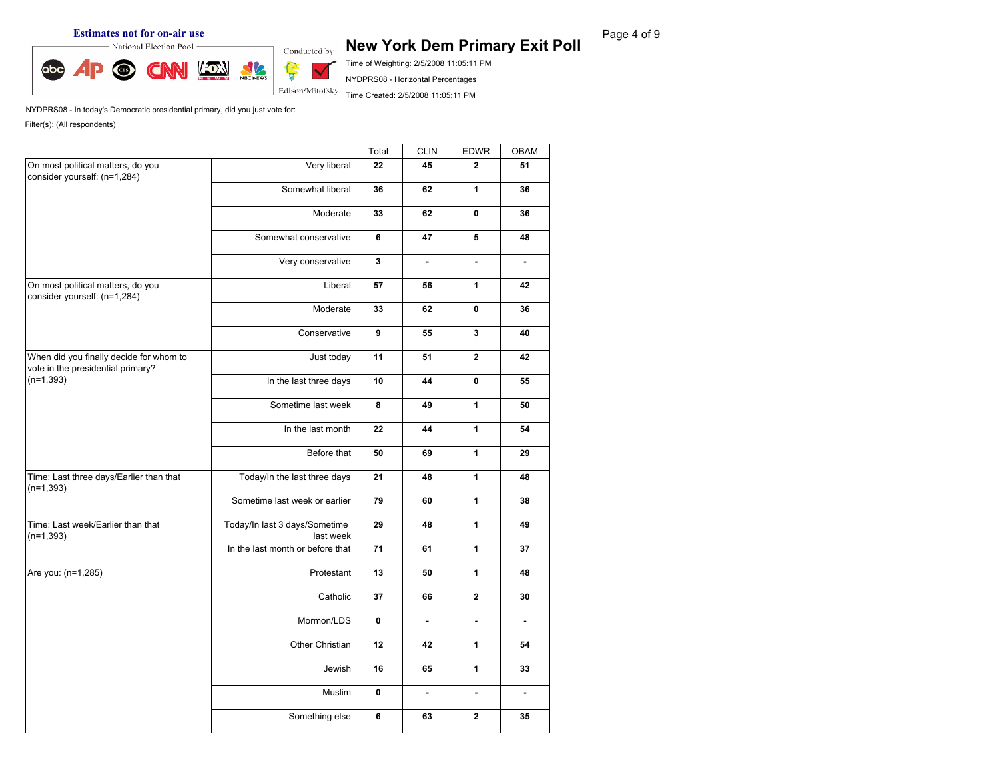**Estimates not for on-air use**<br> **Rage 4 of 9 New York Dem Primary Exit Poll** Page 4 of 9



Time of Weighting: 2/5/2008 11:05:11 PM NYDPRS08 - Horizontal Percentages

Time Created: 2/5/2008 11:05:11 PM

|                                                                              |                                                                                                                                                                                                                                                                                                                                                                                                                                                                                                                                                                                                                                                                                                                                                                   | Total | <b>CLIN</b> | <b>EDWR</b>  | OBAM           |
|------------------------------------------------------------------------------|-------------------------------------------------------------------------------------------------------------------------------------------------------------------------------------------------------------------------------------------------------------------------------------------------------------------------------------------------------------------------------------------------------------------------------------------------------------------------------------------------------------------------------------------------------------------------------------------------------------------------------------------------------------------------------------------------------------------------------------------------------------------|-------|-------------|--------------|----------------|
| On most political matters, do you<br>consider yourself: (n=1,284)            | Very liberal                                                                                                                                                                                                                                                                                                                                                                                                                                                                                                                                                                                                                                                                                                                                                      | 22    | 45          | $\mathbf{2}$ | 51             |
|                                                                              | Somewhat liberal                                                                                                                                                                                                                                                                                                                                                                                                                                                                                                                                                                                                                                                                                                                                                  | 36    | 62          | $\mathbf{1}$ | 36             |
|                                                                              | Moderate                                                                                                                                                                                                                                                                                                                                                                                                                                                                                                                                                                                                                                                                                                                                                          | 33    | 62          | $\mathbf 0$  | 36             |
|                                                                              | Somewhat conservative                                                                                                                                                                                                                                                                                                                                                                                                                                                                                                                                                                                                                                                                                                                                             | 6     | 47          | 5            | 48             |
|                                                                              | Very conservative                                                                                                                                                                                                                                                                                                                                                                                                                                                                                                                                                                                                                                                                                                                                                 | 3     | ä,          | ä,           | $\blacksquare$ |
| On most political matters, do you<br>consider yourself: (n=1,284)            | Liberal                                                                                                                                                                                                                                                                                                                                                                                                                                                                                                                                                                                                                                                                                                                                                           | 57    | 56          | $\mathbf{1}$ | 42             |
|                                                                              | Moderate                                                                                                                                                                                                                                                                                                                                                                                                                                                                                                                                                                                                                                                                                                                                                          | 33    | 62          | $\pmb{0}$    | 36             |
|                                                                              | Conservative                                                                                                                                                                                                                                                                                                                                                                                                                                                                                                                                                                                                                                                                                                                                                      | 9     | 55          | $\mathbf{3}$ | 40             |
| When did you finally decide for whom to<br>vote in the presidential primary? | Just today                                                                                                                                                                                                                                                                                                                                                                                                                                                                                                                                                                                                                                                                                                                                                        | 11    | 51          | $\mathbf{2}$ | 42             |
| $(n=1,393)$                                                                  | In the last three days<br>10<br>$\mathbf 0$<br>44<br>8<br>$\mathbf{1}$<br>Sometime last week<br>49<br>22<br>$\mathbf{1}$<br>In the last month<br>44<br>Before that<br>$\mathbf{1}$<br>50<br>69<br>Today/In the last three days<br>$\mathbf{1}$<br>21<br>48<br>Sometime last week or earlier<br>79<br>1<br>60<br>Today/In last 3 days/Sometime<br>29<br>$\mathbf{1}$<br>48<br>last week<br>In the last month or before that<br>71<br>$\mathbf{1}$<br>61<br>$\mathbf{1}$<br>Protestant<br>13<br>50<br>Catholic<br>${\bf 37}$<br>$\mathbf{2}$<br>66<br>Mormon/LDS<br>$\pmb{0}$<br>÷.<br>ä,<br>Other Christian<br>12<br>42<br>1<br>16<br>65<br>$\mathbf{1}$<br>Jewish<br>Muslim<br>0<br>$\blacksquare$<br>$\blacksquare$<br>Something else<br>6<br>63<br>$\mathbf{2}$ | 55    |             |              |                |
|                                                                              |                                                                                                                                                                                                                                                                                                                                                                                                                                                                                                                                                                                                                                                                                                                                                                   |       |             |              | 50             |
|                                                                              |                                                                                                                                                                                                                                                                                                                                                                                                                                                                                                                                                                                                                                                                                                                                                                   |       |             |              | 54             |
|                                                                              |                                                                                                                                                                                                                                                                                                                                                                                                                                                                                                                                                                                                                                                                                                                                                                   |       |             |              | 29             |
| Time: Last three days/Earlier than that<br>$(n=1,393)$                       |                                                                                                                                                                                                                                                                                                                                                                                                                                                                                                                                                                                                                                                                                                                                                                   |       |             |              | 48             |
|                                                                              |                                                                                                                                                                                                                                                                                                                                                                                                                                                                                                                                                                                                                                                                                                                                                                   |       |             |              | 38             |
| Time: Last week/Earlier than that<br>$(n=1,393)$                             |                                                                                                                                                                                                                                                                                                                                                                                                                                                                                                                                                                                                                                                                                                                                                                   |       |             |              | 49             |
|                                                                              |                                                                                                                                                                                                                                                                                                                                                                                                                                                                                                                                                                                                                                                                                                                                                                   |       |             |              | 37             |
| Are you: (n=1,285)                                                           |                                                                                                                                                                                                                                                                                                                                                                                                                                                                                                                                                                                                                                                                                                                                                                   |       |             |              | 48             |
|                                                                              |                                                                                                                                                                                                                                                                                                                                                                                                                                                                                                                                                                                                                                                                                                                                                                   |       |             |              | 30             |
|                                                                              |                                                                                                                                                                                                                                                                                                                                                                                                                                                                                                                                                                                                                                                                                                                                                                   |       |             |              | ä,             |
|                                                                              |                                                                                                                                                                                                                                                                                                                                                                                                                                                                                                                                                                                                                                                                                                                                                                   |       |             |              | 54             |
|                                                                              |                                                                                                                                                                                                                                                                                                                                                                                                                                                                                                                                                                                                                                                                                                                                                                   |       |             |              | 33             |
|                                                                              |                                                                                                                                                                                                                                                                                                                                                                                                                                                                                                                                                                                                                                                                                                                                                                   |       |             |              | $\blacksquare$ |
|                                                                              |                                                                                                                                                                                                                                                                                                                                                                                                                                                                                                                                                                                                                                                                                                                                                                   |       |             |              | 35             |
|                                                                              |                                                                                                                                                                                                                                                                                                                                                                                                                                                                                                                                                                                                                                                                                                                                                                   |       |             |              |                |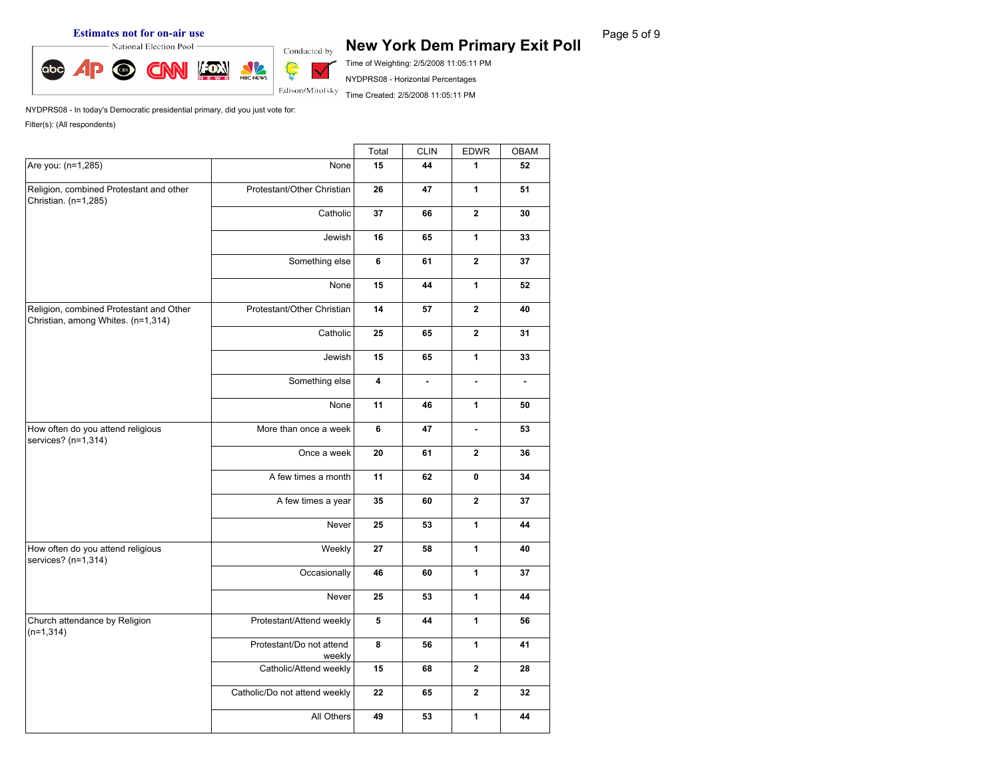#### **Estimates not for on-air use**<br> **Rage 5 of 9 New York Dem Primary Exit Poll** Page 5 of 9



Time of Weighting: 2/5/2008 11:05:11 PM

NYDPRS08 - Horizontal Percentages Time Created: 2/5/2008 11:05:11 PM

NYDPRS08 - In today's Democratic presidential primary, did you just vote for: Filter(s): (All respondents)

Total CLIN EDWR OBAM Are you: (n=1,285) None **15 44 1 52** Religion, combined Protestant and other Christian. (n=1,285) Protestant/Other Christian **26 47 1 51** Catholic **37 66 2 30** Jewish **16 65 1 33** Something else **6 61 2 37** None **15 44 1 52** Religion, combined Protestant and Other Christian, among Whites. (n=1,314) Protestant/Other Christian **14 57 2 40** Catholic **25 65 2 31** Jewish **15 65 1 33** Something else **4 - - -** None **11 46 1 50** How often do you attend religious services? (n=1,314) More than once a week **6 47 - 53** Once a week **20 61 2 36** A few times a month **11 62 0 34** A few times a year **35 60 2 37** Never **25 53 1 44** How often do you attend religious services? (n=1,314) Weekly **27 58 1 40** Occasionally **46 60 1 37** Never **25 53 1 44** Church attendance by Religion (n=1,314) Protestant/Attend weekly **5 44 1 56** Protestant/Do not attend | 8 weekly **8 56 1 41** Catholic/Attend weekly **15 68 2 28** Catholic/Do not attend weekly **22 65 2 32** All Others **49 53 1 44**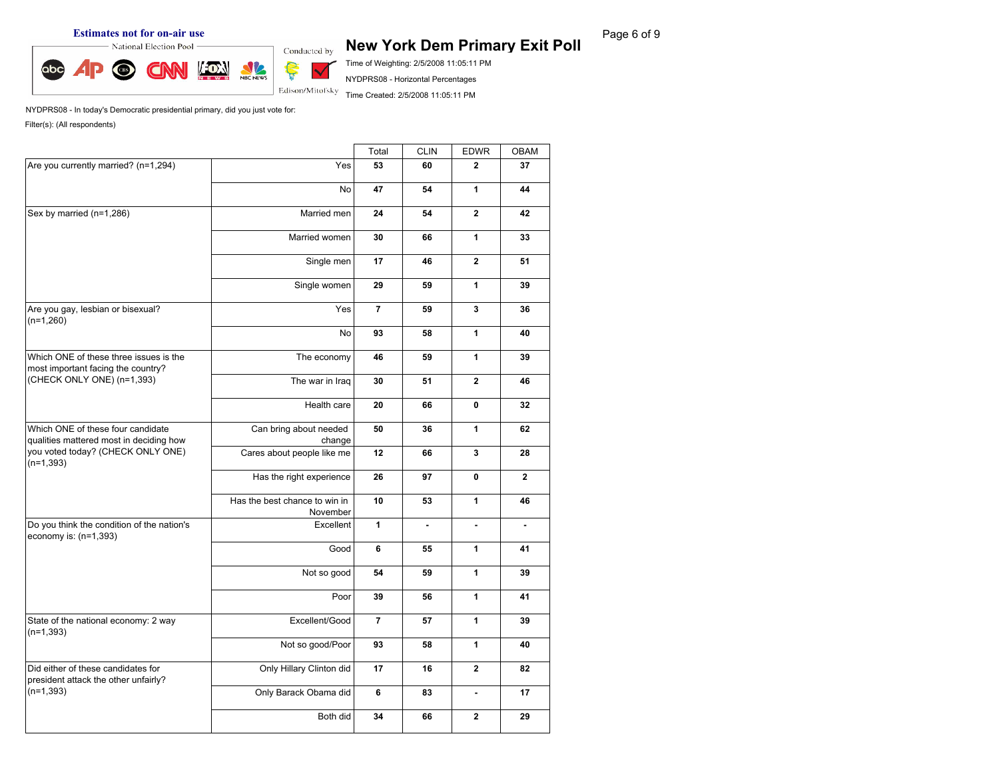# **Estimates not for on-air use**<br> **Rage 6 of 9 New York Dem Primary Exit Poll** Page 6 of 9



Time of Weighting: 2/5/2008 11:05:11 PM NYDPRS08 - Horizontal Percentages

Time Created: 2/5/2008 11:05:11 PM

|                                                                              |                                                                                              | Total          | <b>CLIN</b> | <b>EDWR</b>    | <b>OBAM</b>    |
|------------------------------------------------------------------------------|----------------------------------------------------------------------------------------------|----------------|-------------|----------------|----------------|
| Are you currently married? (n=1,294)                                         | Yes                                                                                          | 53             | 60          | $\mathbf{2}$   | 37             |
|                                                                              | <b>No</b>                                                                                    | 47             | 54          | $\mathbf{1}$   | 44             |
| Sex by married (n=1,286)                                                     | Married men                                                                                  | 24             | 54          | $\mathbf{2}$   | 42             |
|                                                                              | Married women                                                                                | 30             | 66          | $\mathbf{1}$   | 33             |
|                                                                              | Single men                                                                                   | 17             | 46          | $\overline{2}$ | 51             |
|                                                                              | Single women                                                                                 | 29             | 59          | $\mathbf{1}$   | 39             |
| Are you gay, lesbian or bisexual?<br>$(n=1,260)$                             | Yes                                                                                          | $\overline{7}$ | 59          | 3              | 36             |
|                                                                              | <b>No</b>                                                                                    | 93             | 58          | $\mathbf{1}$   | 40             |
| Which ONE of these three issues is the<br>most important facing the country? | The economy                                                                                  | 46             | 59          | $\mathbf{1}$   | 39             |
| (CHECK ONLY ONE) (n=1,393)                                                   | The war in Iraq                                                                              | 30             | 51          | $\overline{2}$ | 46             |
|                                                                              | Health care<br>20<br>66<br>$\mathbf 0$<br>Can bring about needed<br>$\mathbf{1}$<br>50<br>36 | 32             |             |                |                |
| Which ONE of these four candidate<br>qualities mattered most in deciding how | change                                                                                       |                |             |                | 62             |
| you voted today? (CHECK ONLY ONE)<br>$(n=1, 393)$                            | Cares about people like me                                                                   | 12             | 66          | $\mathbf{3}$   | 28             |
|                                                                              | Has the right experience                                                                     | 26             | 97          | $\mathbf 0$    | $\overline{2}$ |
|                                                                              | Has the best chance to win in                                                                | 10             | 53          | 1              | 46             |
| Do you think the condition of the nation's<br>economy is: (n=1,393)          | Excellent                                                                                    | $\mathbf{1}$   | ä,          | ÷,             | ä,             |
|                                                                              | Good                                                                                         | 6              | 55          | 1              | 41             |
|                                                                              | November<br>Not so good<br>1<br>54<br>59                                                     | 39             |             |                |                |
|                                                                              | Poor                                                                                         | 39             | 56          | $\mathbf{1}$   | 41             |
| State of the national economy: 2 way<br>$(n=1,393)$                          | Excellent/Good                                                                               | $\overline{7}$ | 57          | 1              | 39             |
|                                                                              | Not so good/Poor                                                                             | 93             | 58          | 1              | 40             |
| Did either of these candidates for<br>president attack the other unfairly?   | Only Hillary Clinton did                                                                     | 17             | 16          | $\overline{2}$ | 82             |
| $(n=1,393)$                                                                  | Only Barack Obama did                                                                        | 6              | 83          | $\blacksquare$ | 17             |
|                                                                              | Both did                                                                                     | 34             | 66          | $\mathbf{2}$   | 29             |
|                                                                              |                                                                                              |                |             |                |                |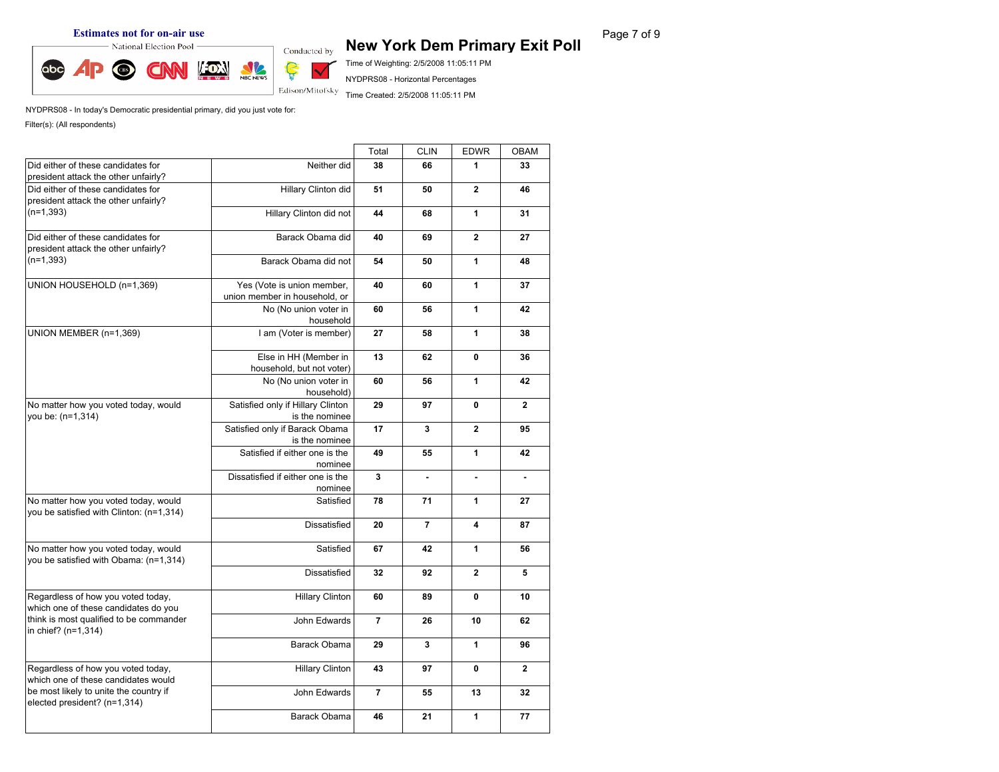abc

# **Estimates not for on-air use**<br> **Rage 7 of 9 New York Dem Primary Exit Poll** Page 7 of 9

Time of Weighting: 2/5/2008 11:05:11 PM

NYDPRS08 - Horizontal Percentages

Time Created: 2/5/2008 11:05:11 PM

NYDPRS08 - In today's Democratic presidential primary, did you just vote for: Filter(s): (All respondents)

NBC NEWS

Ş

Ŵ Edison/Mitofsky

|                                                                                  |                                                                                                                                                                                                                                                                                                                                                                                                                                                                                                                                                                                                                                                                                                                                                                                                                                                                                                                                                                                                                                                                                                                                                                                                     | Total          |    | <b>EDWR</b>                       | OBAM           |
|----------------------------------------------------------------------------------|-----------------------------------------------------------------------------------------------------------------------------------------------------------------------------------------------------------------------------------------------------------------------------------------------------------------------------------------------------------------------------------------------------------------------------------------------------------------------------------------------------------------------------------------------------------------------------------------------------------------------------------------------------------------------------------------------------------------------------------------------------------------------------------------------------------------------------------------------------------------------------------------------------------------------------------------------------------------------------------------------------------------------------------------------------------------------------------------------------------------------------------------------------------------------------------------------------|----------------|----|-----------------------------------|----------------|
| Did either of these candidates for<br>president attack the other unfairly?       | Neither did                                                                                                                                                                                                                                                                                                                                                                                                                                                                                                                                                                                                                                                                                                                                                                                                                                                                                                                                                                                                                                                                                                                                                                                         | 38             | 66 | 1                                 | 33             |
| Did either of these candidates for<br>president attack the other unfairly?       | <b>CLIN</b><br>Hillary Clinton did<br>51<br>$\mathbf{2}$<br>50<br>1<br>Hillary Clinton did not<br>44<br>68<br>Barack Obama did<br>69<br>$\overline{2}$<br>40<br>Barack Obama did not<br>$\mathbf{1}$<br>54<br>50<br>$\mathbf{1}$<br>Yes (Vote is union member,<br>60<br>40<br>union member in household, or<br>$\mathbf{1}$<br>No (No union voter in<br>60<br>56<br>household<br>I am (Voter is member)<br>$\mathbf{1}$<br>27<br>58<br>Else in HH (Member in<br>13<br>$\mathbf{0}$<br>62<br>household, but not voter)<br>1<br>No (No union voter in<br>60<br>56<br>household)<br>Satisfied only if Hillary Clinton<br>29<br>97<br>$\mathbf{0}$<br>is the nominee<br>Satisfied only if Barack Obama<br>$\overline{2}$<br>17<br>3<br>is the nominee<br>Satisfied if either one is the<br>49<br>1<br>55<br>nominee<br>Dissatisfied if either one is the<br>3<br>ä,<br>ä,<br>nominee<br>Satisfied<br>78<br>1<br>71<br><b>Dissatisfied</b><br>$\overline{7}$<br>20<br>4<br>Satisfied<br>67<br>42<br>1<br><b>Dissatisfied</b><br>$\overline{2}$<br>32<br>92<br><b>Hillary Clinton</b><br>89<br>$\mathbf 0$<br>60<br>John Edwards<br>$\overline{7}$<br>26<br>10<br>3<br>$\mathbf{1}$<br>Barack Obama<br>29 |                | 46 |                                   |                |
| $(n=1,393)$                                                                      |                                                                                                                                                                                                                                                                                                                                                                                                                                                                                                                                                                                                                                                                                                                                                                                                                                                                                                                                                                                                                                                                                                                                                                                                     |                |    |                                   | 31             |
| Did either of these candidates for<br>president attack the other unfairly?       |                                                                                                                                                                                                                                                                                                                                                                                                                                                                                                                                                                                                                                                                                                                                                                                                                                                                                                                                                                                                                                                                                                                                                                                                     |                |    |                                   | 27             |
| $(n=1,393)$                                                                      |                                                                                                                                                                                                                                                                                                                                                                                                                                                                                                                                                                                                                                                                                                                                                                                                                                                                                                                                                                                                                                                                                                                                                                                                     |                |    |                                   | 48             |
| UNION HOUSEHOLD (n=1,369)                                                        |                                                                                                                                                                                                                                                                                                                                                                                                                                                                                                                                                                                                                                                                                                                                                                                                                                                                                                                                                                                                                                                                                                                                                                                                     |                |    |                                   | 37             |
|                                                                                  |                                                                                                                                                                                                                                                                                                                                                                                                                                                                                                                                                                                                                                                                                                                                                                                                                                                                                                                                                                                                                                                                                                                                                                                                     |                |    |                                   | 42             |
| UNION MEMBER (n=1,369)                                                           |                                                                                                                                                                                                                                                                                                                                                                                                                                                                                                                                                                                                                                                                                                                                                                                                                                                                                                                                                                                                                                                                                                                                                                                                     |                |    |                                   | 38             |
|                                                                                  |                                                                                                                                                                                                                                                                                                                                                                                                                                                                                                                                                                                                                                                                                                                                                                                                                                                                                                                                                                                                                                                                                                                                                                                                     |                |    |                                   | 36             |
|                                                                                  |                                                                                                                                                                                                                                                                                                                                                                                                                                                                                                                                                                                                                                                                                                                                                                                                                                                                                                                                                                                                                                                                                                                                                                                                     |                |    |                                   | 42             |
| No matter how you voted today, would<br>vou be: (n=1,314)                        |                                                                                                                                                                                                                                                                                                                                                                                                                                                                                                                                                                                                                                                                                                                                                                                                                                                                                                                                                                                                                                                                                                                                                                                                     |                |    |                                   | $\mathbf{2}$   |
|                                                                                  |                                                                                                                                                                                                                                                                                                                                                                                                                                                                                                                                                                                                                                                                                                                                                                                                                                                                                                                                                                                                                                                                                                                                                                                                     |                |    | $\mathbf 0$<br>13<br>$\mathbf{1}$ | 95             |
|                                                                                  |                                                                                                                                                                                                                                                                                                                                                                                                                                                                                                                                                                                                                                                                                                                                                                                                                                                                                                                                                                                                                                                                                                                                                                                                     |                |    |                                   | 42             |
|                                                                                  |                                                                                                                                                                                                                                                                                                                                                                                                                                                                                                                                                                                                                                                                                                                                                                                                                                                                                                                                                                                                                                                                                                                                                                                                     |                |    |                                   | $\blacksquare$ |
| No matter how you voted today, would<br>you be satisfied with Clinton: (n=1,314) |                                                                                                                                                                                                                                                                                                                                                                                                                                                                                                                                                                                                                                                                                                                                                                                                                                                                                                                                                                                                                                                                                                                                                                                                     |                |    |                                   | 27             |
|                                                                                  |                                                                                                                                                                                                                                                                                                                                                                                                                                                                                                                                                                                                                                                                                                                                                                                                                                                                                                                                                                                                                                                                                                                                                                                                     |                |    |                                   | 87             |
| No matter how you voted today, would<br>you be satisfied with Obama: (n=1,314)   |                                                                                                                                                                                                                                                                                                                                                                                                                                                                                                                                                                                                                                                                                                                                                                                                                                                                                                                                                                                                                                                                                                                                                                                                     |                |    |                                   | 56             |
|                                                                                  |                                                                                                                                                                                                                                                                                                                                                                                                                                                                                                                                                                                                                                                                                                                                                                                                                                                                                                                                                                                                                                                                                                                                                                                                     |                |    |                                   | 5              |
| Regardless of how you voted today,<br>which one of these candidates do you       |                                                                                                                                                                                                                                                                                                                                                                                                                                                                                                                                                                                                                                                                                                                                                                                                                                                                                                                                                                                                                                                                                                                                                                                                     |                |    |                                   | 10             |
| think is most qualified to be commander<br>in chief? (n=1,314)                   |                                                                                                                                                                                                                                                                                                                                                                                                                                                                                                                                                                                                                                                                                                                                                                                                                                                                                                                                                                                                                                                                                                                                                                                                     |                |    |                                   | 62             |
|                                                                                  |                                                                                                                                                                                                                                                                                                                                                                                                                                                                                                                                                                                                                                                                                                                                                                                                                                                                                                                                                                                                                                                                                                                                                                                                     |                |    |                                   | 96             |
| Regardless of how you voted today,<br>which one of these candidates would        | <b>Hillary Clinton</b>                                                                                                                                                                                                                                                                                                                                                                                                                                                                                                                                                                                                                                                                                                                                                                                                                                                                                                                                                                                                                                                                                                                                                                              | 43             | 97 |                                   | $\mathbf{2}$   |
| be most likely to unite the country if<br>elected president? (n=1,314)           | John Edwards                                                                                                                                                                                                                                                                                                                                                                                                                                                                                                                                                                                                                                                                                                                                                                                                                                                                                                                                                                                                                                                                                                                                                                                        | $\overline{7}$ | 55 |                                   | 32             |
|                                                                                  | Barack Obama                                                                                                                                                                                                                                                                                                                                                                                                                                                                                                                                                                                                                                                                                                                                                                                                                                                                                                                                                                                                                                                                                                                                                                                        | 46             | 21 |                                   | 77             |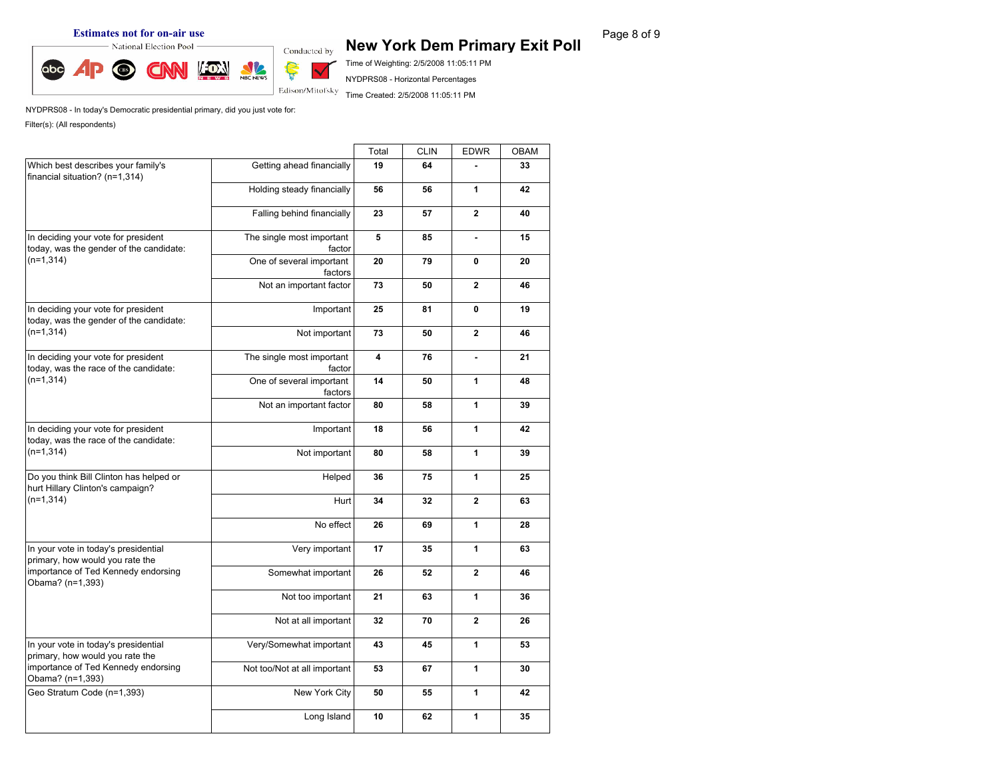#### **Estimates not for on-air use**<br> **Rage 8 of 9 New York Dem Primary Exit Poll** Page 8 of 9



Time of Weighting: 2/5/2008 11:05:11 PM NYDPRS08 - Horizontal Percentages

Time Created: 2/5/2008 11:05:11 PM

|                                                                                |                                                                                                                                                                                                                                                                                                                                                                                                                                                                                                                                                                                                                                                                                                                                                                                                                                          | Total                                                                                                         | <b>CLIN</b>                                                                                                                        | <b>EDWR</b>  | OBAM |
|--------------------------------------------------------------------------------|------------------------------------------------------------------------------------------------------------------------------------------------------------------------------------------------------------------------------------------------------------------------------------------------------------------------------------------------------------------------------------------------------------------------------------------------------------------------------------------------------------------------------------------------------------------------------------------------------------------------------------------------------------------------------------------------------------------------------------------------------------------------------------------------------------------------------------------|---------------------------------------------------------------------------------------------------------------|------------------------------------------------------------------------------------------------------------------------------------|--------------|------|
| Which best describes your family's<br>financial situation? (n=1,314)           | Getting ahead financially                                                                                                                                                                                                                                                                                                                                                                                                                                                                                                                                                                                                                                                                                                                                                                                                                | 19                                                                                                            | 64                                                                                                                                 |              | 33   |
|                                                                                | Holding steady financially                                                                                                                                                                                                                                                                                                                                                                                                                                                                                                                                                                                                                                                                                                                                                                                                               | 56                                                                                                            | 56                                                                                                                                 | $\mathbf{1}$ | 42   |
|                                                                                | $\overline{2}$<br>Falling behind financially<br>23<br>57<br>5<br>The single most important<br>85<br>ä,<br>factor<br>One of several important<br>20<br>79<br>$\mathbf 0$<br>factors<br>Not an important factor<br>$\mathbf{2}$<br>73<br>50<br>25<br>81<br>$\mathbf 0$<br>Important<br>today, was the gender of the candidate:<br>Not important<br>$\mathbf{2}$<br>73<br>50<br>The single most important<br>4<br>76<br>factor<br>One of several important<br>1<br>14<br>50<br>factors<br>Not an important factor<br>$\mathbf{1}$<br>80<br>58<br>18<br>56<br>$\mathbf{1}$<br>Important<br>1<br>Not important<br>80<br>58<br>75<br>$\mathbf{1}$<br>Helped<br>36<br>$\mathbf{2}$<br>Hurt<br>34<br>32<br>No effect<br>$\mathbf{1}$<br>26<br>69<br>Very important<br>$\mathbf{1}$<br>17<br>35<br>$\mathbf{2}$<br>Somewhat important<br>26<br>52 | 40                                                                                                            |                                                                                                                                    |              |      |
| In deciding your vote for president<br>today, was the gender of the candidate: |                                                                                                                                                                                                                                                                                                                                                                                                                                                                                                                                                                                                                                                                                                                                                                                                                                          |                                                                                                               |                                                                                                                                    |              | 15   |
| $(n=1,314)$                                                                    |                                                                                                                                                                                                                                                                                                                                                                                                                                                                                                                                                                                                                                                                                                                                                                                                                                          |                                                                                                               |                                                                                                                                    |              | 20   |
|                                                                                |                                                                                                                                                                                                                                                                                                                                                                                                                                                                                                                                                                                                                                                                                                                                                                                                                                          |                                                                                                               |                                                                                                                                    |              | 46   |
| In deciding your vote for president                                            |                                                                                                                                                                                                                                                                                                                                                                                                                                                                                                                                                                                                                                                                                                                                                                                                                                          |                                                                                                               |                                                                                                                                    |              | 19   |
| $(n=1,314)$                                                                    |                                                                                                                                                                                                                                                                                                                                                                                                                                                                                                                                                                                                                                                                                                                                                                                                                                          |                                                                                                               |                                                                                                                                    |              | 46   |
| In deciding your vote for president<br>today, was the race of the candidate:   |                                                                                                                                                                                                                                                                                                                                                                                                                                                                                                                                                                                                                                                                                                                                                                                                                                          |                                                                                                               |                                                                                                                                    |              | 21   |
| $(n=1,314)$                                                                    |                                                                                                                                                                                                                                                                                                                                                                                                                                                                                                                                                                                                                                                                                                                                                                                                                                          |                                                                                                               | $\mathbf{1}$<br>63<br>$\overline{2}$<br>70<br>$\mathbf{1}$<br>45<br>$\mathbf{1}$<br>67<br>55<br>$\mathbf{1}$<br>$\mathbf{1}$<br>62 | 48           |      |
|                                                                                |                                                                                                                                                                                                                                                                                                                                                                                                                                                                                                                                                                                                                                                                                                                                                                                                                                          | 39                                                                                                            |                                                                                                                                    |              |      |
| In deciding your vote for president<br>today, was the race of the candidate:   |                                                                                                                                                                                                                                                                                                                                                                                                                                                                                                                                                                                                                                                                                                                                                                                                                                          | 42                                                                                                            |                                                                                                                                    |              |      |
| $(n=1,314)$                                                                    |                                                                                                                                                                                                                                                                                                                                                                                                                                                                                                                                                                                                                                                                                                                                                                                                                                          |                                                                                                               |                                                                                                                                    |              | 39   |
| Do you think Bill Clinton has helped or<br>hurt Hillary Clinton's campaign?    |                                                                                                                                                                                                                                                                                                                                                                                                                                                                                                                                                                                                                                                                                                                                                                                                                                          |                                                                                                               |                                                                                                                                    |              | 25   |
| $(n=1,314)$                                                                    |                                                                                                                                                                                                                                                                                                                                                                                                                                                                                                                                                                                                                                                                                                                                                                                                                                          |                                                                                                               |                                                                                                                                    |              | 63   |
|                                                                                |                                                                                                                                                                                                                                                                                                                                                                                                                                                                                                                                                                                                                                                                                                                                                                                                                                          |                                                                                                               |                                                                                                                                    |              | 28   |
| In your vote in today's presidential<br>primary, how would you rate the        |                                                                                                                                                                                                                                                                                                                                                                                                                                                                                                                                                                                                                                                                                                                                                                                                                                          | Not too important<br>21<br>Not at all important<br>32<br>43<br>53<br>New York City<br>50<br>10<br>Long Island |                                                                                                                                    | 63           |      |
| importance of Ted Kennedy endorsing<br>Obama? (n=1,393)                        |                                                                                                                                                                                                                                                                                                                                                                                                                                                                                                                                                                                                                                                                                                                                                                                                                                          |                                                                                                               |                                                                                                                                    |              | 46   |
|                                                                                |                                                                                                                                                                                                                                                                                                                                                                                                                                                                                                                                                                                                                                                                                                                                                                                                                                          |                                                                                                               |                                                                                                                                    |              | 36   |
|                                                                                |                                                                                                                                                                                                                                                                                                                                                                                                                                                                                                                                                                                                                                                                                                                                                                                                                                          |                                                                                                               |                                                                                                                                    |              | 26   |
| In your vote in today's presidential<br>primary, how would you rate the        | Very/Somewhat important                                                                                                                                                                                                                                                                                                                                                                                                                                                                                                                                                                                                                                                                                                                                                                                                                  |                                                                                                               |                                                                                                                                    |              | 53   |
| importance of Ted Kennedy endorsing<br>Obama? (n=1,393)                        | Not too/Not at all important                                                                                                                                                                                                                                                                                                                                                                                                                                                                                                                                                                                                                                                                                                                                                                                                             |                                                                                                               |                                                                                                                                    |              | 30   |
| Geo Stratum Code (n=1,393)                                                     |                                                                                                                                                                                                                                                                                                                                                                                                                                                                                                                                                                                                                                                                                                                                                                                                                                          |                                                                                                               |                                                                                                                                    |              | 42   |
|                                                                                |                                                                                                                                                                                                                                                                                                                                                                                                                                                                                                                                                                                                                                                                                                                                                                                                                                          |                                                                                                               |                                                                                                                                    |              | 35   |